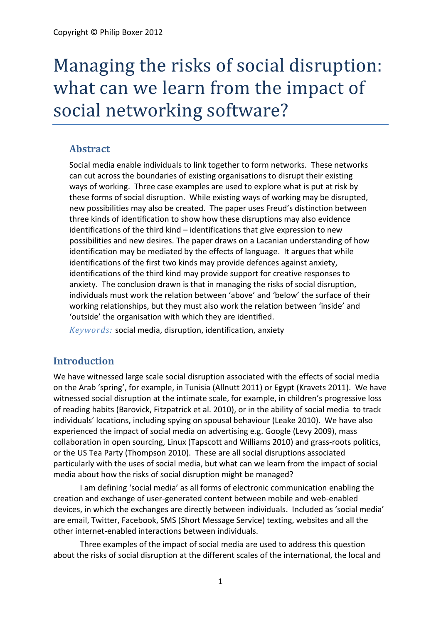# Managing the risks of social disruption: what can we learn from the impact of social networking software?

### **Abstract**

Social media enable individuals to link together to form networks. These networks can cut across the boundaries of existing organisations to disrupt their existing ways of working. Three case examples are used to explore what is put at risk by these forms of social disruption. While existing ways of working may be disrupted, new possibilities may also be created. The paper uses Freud's distinction between three kinds of identification to show how these disruptions may also evidence identifications of the third kind – identifications that give expression to new possibilities and new desires. The paper draws on a Lacanian understanding of how identification may be mediated by the effects of language. It argues that while identifications of the first two kinds may provide defences against anxiety, identifications of the third kind may provide support for creative responses to anxiety. The conclusion drawn is that in managing the risks of social disruption, individuals must work the relation between 'above' and 'below' the surface of their working relationships, but they must also work the relation between 'inside' and 'outside' the organisation with which they are identified.

*Keywords:* social media, disruption, identification, anxiety

## **Introduction**

We have witnessed large scale social disruption associated with the effects of social media on the Arab 'spring', for example, in Tunisia [\(Allnutt 2011\)](#page-8-0) or Egypt [\(Kravets 2011\)](#page-9-0). We have witnessed social disruption at the intimate scale, for example, in children's progressive loss of reading habits [\(Barovick, Fitzpatrick et al. 2010\)](#page-8-1), or in the ability of social media to track individuals' locations, including spying on spousal behaviour [\(Leake 2010\)](#page-9-1). We have also experienced the impact of social media on advertising e.g. Google [\(Levy 2009\)](#page-9-2), mass collaboration in open sourcing, Linux [\(Tapscott and Williams 2010\)](#page-9-3) and grass-roots politics, or the US Tea Party [\(Thompson 2010\)](#page-9-4). These are all social disruptions associated particularly with the uses of social media, but what can we learn from the impact of social media about how the risks of social disruption might be managed?

I am defining 'social media' as all forms of electronic communication enabling the creation and exchange of user-generated content between mobile and web-enabled devices, in which the exchanges are directly between individuals. Included as 'social media' are email, Twitter, Facebook, SMS (Short Message Service) texting, websites and all the other internet-enabled interactions between individuals.

Three examples of the impact of social media are used to address this question about the risks of social disruption at the different scales of the international, the local and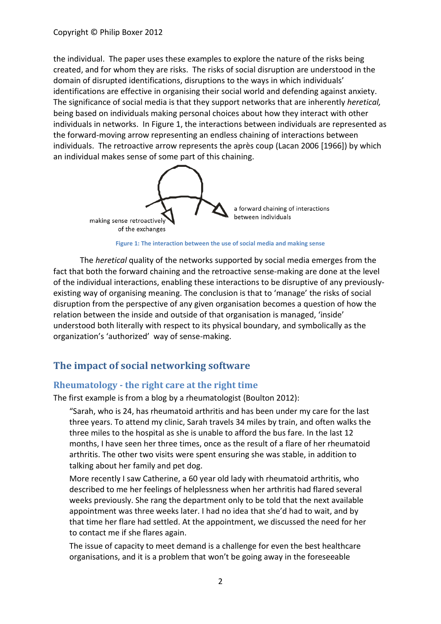the individual. The paper uses these examples to explore the nature of the risks being created, and for whom they are risks. The risks of social disruption are understood in the domain of disrupted identifications, disruptions to the ways in which individuals' identifications are effective in organising their social world and defending against anxiety. The significance of social media is that they support networks that are inherently *heretical,* being based on individuals making personal choices about how they interact with other individuals in networks. In Figure 1, the interactions between individuals are represented as the forward-moving arrow representing an endless chaining of interactions between individuals. The retroactive arrow represents the après coup [\(Lacan 2006 \[1966\]\)](#page-9-5) by which an individual makes sense of some part of this chaining.





The *heretical* quality of the networks supported by social media emerges from the fact that both the forward chaining and the retroactive sense-making are done at the level of the individual interactions, enabling these interactions to be disruptive of any previouslyexisting way of organising meaning. The conclusion is that to 'manage' the risks of social disruption from the perspective of any given organisation becomes a question of how the relation between the inside and outside of that organisation is managed, 'inside' understood both literally with respect to its physical boundary, and symbolically as the organization's 'authorized' way of sense-making.

# **The impact of social networking software**

#### **Rheumatology - the right care at the right time**

The first example is from a blog by a rheumatologist [\(Boulton 2012\)](#page-8-2):

"Sarah, who is 24, has rheumatoid arthritis and has been under my care for the last three years. To attend my clinic, Sarah travels 34 miles by train, and often walks the three miles to the hospital as she is unable to afford the bus fare. In the last 12 months, I have seen her three times, once as the result of a flare of her rheumatoid arthritis. The other two visits were spent ensuring she was stable, in addition to talking about her family and pet dog.

More recently I saw Catherine, a 60 year old lady with rheumatoid arthritis, who described to me her feelings of helplessness when her arthritis had flared several weeks previously. She rang the department only to be told that the next available appointment was three weeks later. I had no idea that she'd had to wait, and by that time her flare had settled. At the appointment, we discussed the need for her to contact me if she flares again.

The issue of capacity to meet demand is a challenge for even the best healthcare organisations, and it is a problem that won't be going away in the foreseeable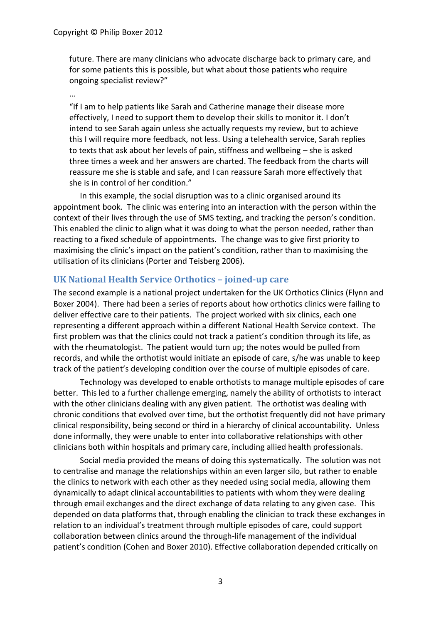future. There are many clinicians who advocate discharge back to primary care, and for some patients this is possible, but what about those patients who require ongoing specialist review?"

…

"If I am to help patients like Sarah and Catherine manage their disease more effectively, I need to support them to develop their skills to monitor it. I don't intend to see Sarah again unless she actually requests my review, but to achieve this I will require more feedback, not less. Using a telehealth service, Sarah replies to texts that ask about her levels of pain, stiffness and wellbeing – she is asked three times a week and her answers are charted. The feedback from the charts will reassure me she is stable and safe, and I can reassure Sarah more effectively that she is in control of her condition."

In this example, the social disruption was to a clinic organised around its appointment book. The clinic was entering into an interaction with the person within the context of their lives through the use of SMS texting, and tracking the person's condition. This enabled the clinic to align what it was doing to what the person needed, rather than reacting to a fixed schedule of appointments. The change was to give first priority to maximising the clinic's impact on the patient's condition, rather than to maximising the utilisation of its clinicians [\(Porter and Teisberg](#page-9-6) 2006).

#### **UK National Health Service Orthotics – joined-up care**

The second example is a national project undertaken for the UK Orthotics Clinics [\(Flynn and](#page-9-7)  [Boxer 2004\)](#page-9-7). There had been a series of reports about how orthotics clinics were failing to deliver effective care to their patients. The project worked with six clinics, each one representing a different approach within a different National Health Service context. The first problem was that the clinics could not track a patient's condition through its life, as with the rheumatologist. The patient would turn up; the notes would be pulled from records, and while the orthotist would initiate an episode of care, s/he was unable to keep track of the patient's developing condition over the course of multiple episodes of care.

Technology was developed to enable orthotists to manage multiple episodes of care better. This led to a further challenge emerging, namely the ability of orthotists to interact with the other clinicians dealing with any given patient. The orthotist was dealing with chronic conditions that evolved over time, but the orthotist frequently did not have primary clinical responsibility, being second or third in a hierarchy of clinical accountability. Unless done informally, they were unable to enter into collaborative relationships with other clinicians both within hospitals and primary care, including allied health professionals.

Social media provided the means of doing this systematically. The solution was not to centralise and manage the relationships within an even larger silo, but rather to enable the clinics to network with each other as they needed using social media, allowing them dynamically to adapt clinical accountabilities to patients with whom they were dealing through email exchanges and the direct exchange of data relating to any given case. This depended on data platforms that, through enabling the clinician to track these exchanges in relation to an individual's treatment through multiple episodes of care, could support collaboration between clinics around the through-life management of the individual patient's condition [\(Cohen and Boxer 2010\)](#page-9-8). Effective collaboration depended critically on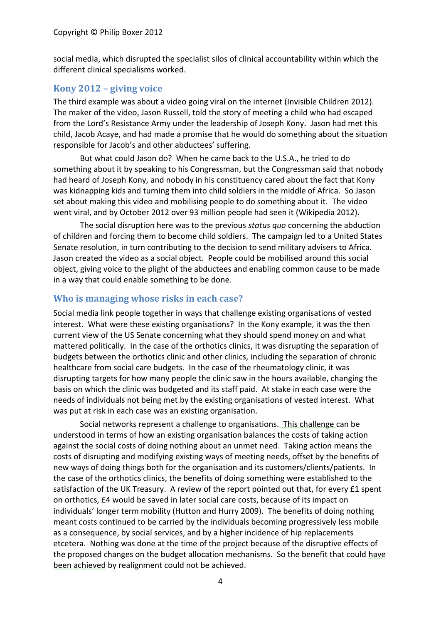social media, which disrupted the specialist silos of clinical accountability within which the different clinical specialisms worked.

#### **Kony 2012 – giving voice**

The third example was about a video going viral on the internet [\(Invisible Children 2012\)](#page-9-9). The maker of the video, Jason Russell, told the story of meeting a child who had escaped from the Lord's Resistance Army under the leadership of Joseph Kony. Jason had met this child, Jacob Acaye, and had made a promise that he would do something about the situation responsible for Jacob's and other abductees' suffering.

But what could Jason do? When he came back to the U.S.A., he tried to do something about it by speaking to his Congressman, but the Congressman said that nobody had heard of Joseph Kony, and nobody in his constituency cared about the fact that Kony was kidnapping kids and turning them into child soldiers in the middle of Africa. So Jason set about making this video and mobilising people to do something about it. The video went viral, and by October 2012 over 93 million people had seen it [\(Wikipedia 2012\)](#page-10-0).

The social disruption here was to the previous *status quo* concerning the abduction of children and forcing them to become child soldiers. The campaign led to a United States Senate resolution, in turn contributing to the decision to send military advisers to Africa. Jason created the video as a social object. People could be mobilised around this social object, giving voice to the plight of the abductees and enabling common cause to be made in a way that could enable something to be done.

#### **Who is managing whose risks in each case?**

Social media link people together in ways that challenge existing organisations of vested interest. What were these existing organisations? In the Kony example, it was the then current view of the US Senate concerning what they should spend money on and what mattered politically. In the case of the orthotics clinics, it was disrupting the separation of budgets between the orthotics clinic and other clinics, including the separation of chronic healthcare from social care budgets. In the case of the rheumatology clinic, it was disrupting targets for how many people the clinic saw in the hours available, changing the basis on which the clinic was budgeted and its staff paid. At stake in each case were the needs of individuals not being met by the existing organisations of vested interest. What was put at risk in each case was an existing organisation.

Social networks represent a challenge to organisations. This challenge can be understood in terms of how an existing organisation balances the costs of taking action against the social costs of doing nothing about an unmet need. Taking action means the costs of disrupting and modifying existing ways of meeting needs, offset by the benefits of new ways of doing things both for the organisation and its customers/clients/patients. In the case of the orthotics clinics, the benefits of doing something were established to the satisfaction of the UK Treasury. A review of the report pointed out that, for every £1 spent on orthotics, £4 would be saved in later social care costs, because of its impact on individuals' longer term mobility [\(Hutton and Hurry 2009\)](#page-9-10). The benefits of doing nothing meant costs continued to be carried by the individuals becoming progressively less mobile as a consequence, by social services, and by a higher incidence of hip replacements etcetera. Nothing was done at the time of the project because of the disruptive effects of the proposed changes on the budget allocation mechanisms. So the benefit that could have been achieved by realignment could not be achieved.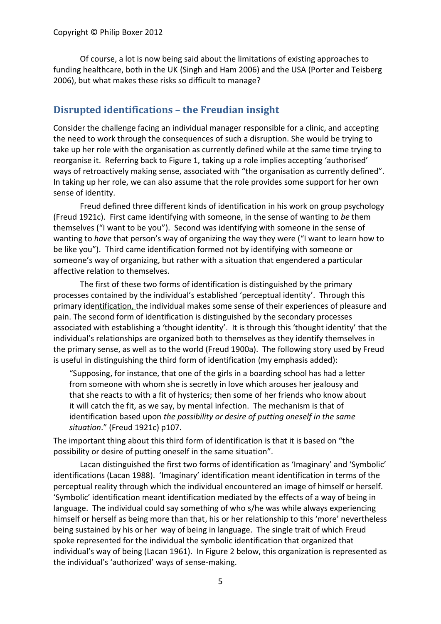Of course, a lot is now being said about the limitations of existing approaches to funding healthcare, both in the UK [\(Singh and Ham 2006\)](#page-9-11) and the USA [\(Porter and Teisberg](#page-9-6) [2006\)](#page-9-6), but what makes these risks so difficult to manage?

# **Disrupted identifications – the Freudian insight**

Consider the challenge facing an individual manager responsible for a clinic, and accepting the need to work through the consequences of such a disruption. She would be trying to take up her role with the organisation as currently defined while at the same time trying to reorganise it. Referring back to Figure 1, taking up a role implies accepting 'authorised' ways of retroactively making sense, associated with "the organisation as currently defined". In taking up her role, we can also assume that the role provides some support for her own sense of identity.

Freud defined three different kinds of identification in his work on group psychology [\(Freud 1921c\)](#page-9-12). First came identifying with someone, in the sense of wanting to *be* them themselves ("I want to be you"). Second was identifying with someone in the sense of wanting to *have* that person's way of organizing the way they were ("I want to learn how to be like you"). Third came identification formed not by identifying with someone or someone's way of organizing, but rather with a situation that engendered a particular affective relation to themselves.

The first of these two forms of identification is distinguished by the primary processes contained by the individual's established 'perceptual identity'. Through this primary identification, the individual makes some sense of their experiences of pleasure and pain. The second form of identification is distinguished by the secondary processes associated with establishing a 'thought identity'. It is through this 'thought identity' that the individual's relationships are organized both to themselves as they identify themselves in the primary sense, as well as to the world [\(Freud 1900a\)](#page-9-13). The following story used by Freud is useful in distinguishing the third form of identification (my emphasis added):

"Supposing, for instance, that one of the girls in a boarding school has had a letter from someone with whom she is secretly in love which arouses her jealousy and that she reacts to with a fit of hysterics; then some of her friends who know about it will catch the fit, as we say, by mental infection. The mechanism is that of identification based upon *the possibility or desire of putting oneself in the same situation*." [\(Freud 1921c\)](#page-9-12) p107.

The important thing about this third form of identification is that it is based on "the possibility or desire of putting oneself in the same situation".

Lacan distinguished the first two forms of identification as 'Imaginary' and 'Symbolic' identifications [\(Lacan 1988\)](#page-9-14). 'Imaginary' identification meant identification in terms of the perceptual reality through which the individual encountered an image of himself or herself. 'Symbolic' identification meant identification mediated by the effects of a way of being in language. The individual could say something of who s/he was while always experiencing himself or herself as being more than that, his or her relationship to this 'more' nevertheless being sustained by his or her way of being in language. The single trait of which Freud spoke represented for the individual the symbolic identification that organized that individual's way of being [\(Lacan 1961\)](#page-9-15). In Figure 2 below, this organization is represented as the individual's 'authorized' ways of sense-making.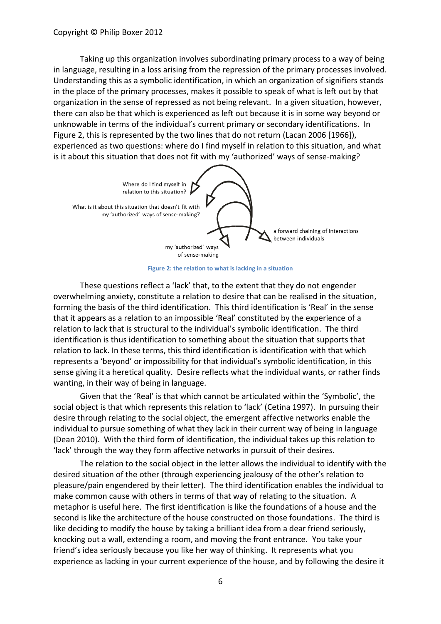Taking up this organization involves subordinating primary process to a way of being in language, resulting in a loss arising from the repression of the primary processes involved. Understanding this as a symbolic identification, in which an organization of signifiers stands in the place of the primary processes, makes it possible to speak of what is left out by that organization in the sense of repressed as not being relevant. In a given situation, however, there can also be that which is experienced as left out because it is in some way beyond or unknowable in terms of the individual's current primary or secondary identifications. In Figure 2, this is represented by the two lines that do not return [\(Lacan 2006 \[1966\]\)](#page-9-5), experienced as two questions: where do I find myself in relation to this situation, and what is it about this situation that does not fit with my 'authorized' ways of sense-making?



**Figure 2: the relation to what is lacking in a situation**

These questions reflect a 'lack' that, to the extent that they do not engender overwhelming anxiety, constitute a relation to desire that can be realised in the situation, forming the basis of the third identification. This third identification is 'Real' in the sense that it appears as a relation to an impossible 'Real' constituted by the experience of a relation to lack that is structural to the individual's symbolic identification. The third identification is thus identification to something about the situation that supports that relation to lack. In these terms, this third identification is identification with that which represents a 'beyond' or impossibility for that individual's symbolic identification, in this sense giving it a heretical quality. Desire reflects what the individual wants, or rather finds wanting, in their way of being in language.

Given that the 'Real' is that which cannot be articulated within the 'Symbolic', the social object is that which represents this relation to 'lack' [\(Cetina 1997\)](#page-9-16). In pursuing their desire through relating to the social object, the emergent affective networks enable the individual to pursue something of what they lack in their current way of being in language [\(Dean 2010\)](#page-9-17). With the third form of identification, the individual takes up this relation to 'lack' through the way they form affective networks in pursuit of their desires.

The relation to the social object in the letter allows the individual to identify with the desired situation of the other (through experiencing jealousy of the other's relation to pleasure/pain engendered by their letter). The third identification enables the individual to make common cause with others in terms of that way of relating to the situation. A metaphor is useful here. The first identification is like the foundations of a house and the second is like the architecture of the house constructed on those foundations. The third is like deciding to modify the house by taking a brilliant idea from a dear friend seriously, knocking out a wall, extending a room, and moving the front entrance. You take your friend's idea seriously because you like her way of thinking. It represents what you experience as lacking in your current experience of the house, and by following the desire it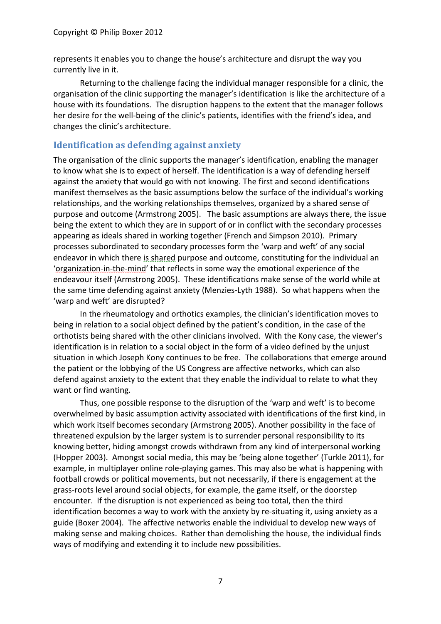represents it enables you to change the house's architecture and disrupt the way you currently live in it.

Returning to the challenge facing the individual manager responsible for a clinic, the organisation of the clinic supporting the manager's identification is like the architecture of a house with its foundations. The disruption happens to the extent that the manager follows her desire for the well-being of the clinic's patients, identifies with the friend's idea, and changes the clinic's architecture.

#### **Identification as defending against anxiety**

The organisation of the clinic supports the manager's identification, enabling the manager to know what she is to expect of herself. The identification is a way of defending herself against the anxiety that would go with not knowing. The first and second identifications manifest themselves as the basic assumptions below the surface of the individual's working relationships, and the working relationships themselves, organized by a shared sense of purpose and outcome [\(Armstrong 2005\)](#page-8-3). The basic assumptions are always there, the issue being the extent to which they are in support of or in conflict with the secondary processes appearing as ideals shared in working together [\(French and Simpson 2010\)](#page-9-18). Primary processes subordinated to secondary processes form the 'warp and weft' of any social endeavor in which there is shared purpose and outcome, constituting for the individual an 'organization-in-the-mind' that reflects in some way the emotional experience of the endeavour itself [\(Armstrong 2005\)](#page-8-4). These identifications make sense of the world while at the same time defending against anxiety [\(Menzies-Lyth 1988\)](#page-9-19). So what happens when the 'warp and weft' are disrupted?

In the rheumatology and orthotics examples, the clinician's identification moves to being in relation to a social object defined by the patient's condition, in the case of the orthotists being shared with the other clinicians involved. With the Kony case, the viewer's identification is in relation to a social object in the form of a video defined by the unjust situation in which Joseph Kony continues to be free. The collaborations that emerge around the patient or the lobbying of the US Congress are affective networks, which can also defend against anxiety to the extent that they enable the individual to relate to what they want or find wanting.

Thus, one possible response to the disruption of the 'warp and weft' is to become overwhelmed by basic assumption activity associated with identifications of the first kind, in which work itself becomes secondary [\(Armstrong 2005\)](#page-8-3). Another possibility in the face of threatened expulsion by the larger system is to surrender personal responsibility to its knowing better, hiding amongst crowds withdrawn from any kind of interpersonal working [\(Hopper 2003\)](#page-9-20). Amongst social media, this may be 'being alone together' [\(Turkle 2011\)](#page-10-1), for example, in multiplayer online role-playing games. This may also be what is happening with football crowds or political movements, but not necessarily, if there is engagement at the grass-roots level around social objects, for example, the game itself, or the doorstep encounter. If the disruption is not experienced as being too total, then the third identification becomes a way to work with the anxiety by re-situating it, using anxiety as a guide [\(Boxer 2004\)](#page-8-5). The affective networks enable the individual to develop new ways of making sense and making choices. Rather than demolishing the house, the individual finds ways of modifying and extending it to include new possibilities.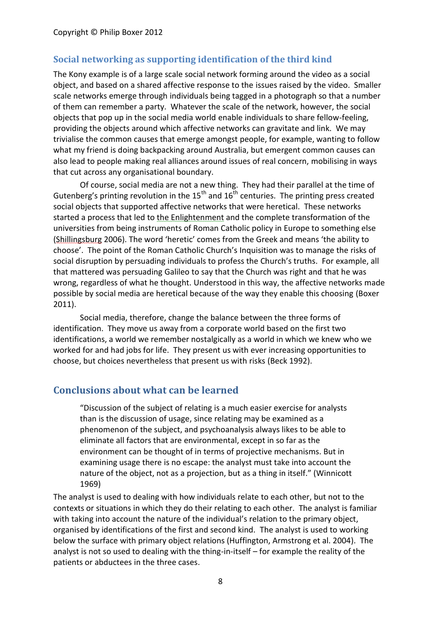#### **Social networking as supporting identification of the third kind**

The Kony example is of a large scale social network forming around the video as a social object, and based on a shared affective response to the issues raised by the video. Smaller scale networks emerge through individuals being tagged in a photograph so that a number of them can remember a party. Whatever the scale of the network, however, the social objects that pop up in the social media world enable individuals to share fellow-feeling, providing the objects around which affective networks can gravitate and link. We may trivialise the common causes that emerge amongst people, for example, wanting to follow what my friend is doing backpacking around Australia, but emergent common causes can also lead to people making real alliances around issues of real concern, mobilising in ways that cut across any organisational boundary.

Of course, social media are not a new thing. They had their parallel at the time of Gutenberg's printing revolution in the  $15<sup>th</sup>$  and  $16<sup>th</sup>$  centuries. The printing press created social objects that supported affective networks that were heretical. These networks started a process that led to the Enlightenment and the complete transformation of the universities from being instruments of Roman Catholic policy in Europe to something else [\(Shillingsburg](#page-9-21) 2006). The word 'heretic' comes from the Greek and means 'the ability to choose'. The point of the Roman Catholic Church's Inquisition was to manage the risks of social disruption by persuading individuals to profess the Church's truths. For example, all that mattered was persuading Galileo to say that the Church was right and that he was wrong, regardless of what he thought. Understood in this way, the affective networks made possible by social media are heretical because of the way they enable this choosing [\(Boxer](#page-8-6)  [2011\)](#page-8-6).

Social media, therefore, change the balance between the three forms of identification. They move us away from a corporate world based on the first two identifications, a world we remember nostalgically as a world in which we knew who we worked for and had jobs for life. They present us with ever increasing opportunities to choose, but choices nevertheless that present us with risks [\(Beck 1992\)](#page-8-7).

#### **Conclusions about what can be learned**

"Discussion of the subject of relating is a much easier exercise for analysts than is the discussion of usage, since relating may be examined as a phenomenon of the subject, and psychoanalysis always likes to be able to eliminate all factors that are environmental, except in so far as the environment can be thought of in terms of projective mechanisms. But in examining usage there is no escape: the analyst must take into account the nature of the object, not as a projection, but as a thing in itself." [\(Winnicott](#page-10-2)  [1969\)](#page-10-2)

The analyst is used to dealing with how individuals relate to each other, but not to the contexts or situations in which they do their relating to each other. The analyst is familiar with taking into account the nature of the individual's relation to the primary object, organised by identifications of the first and second kind. The analyst is used to working below the surface with primary object relations [\(Huffington, Armstrong et al. 2004\)](#page-9-22). The analyst is not so used to dealing with the thing-in-itself – for example the reality of the patients or abductees in the three cases.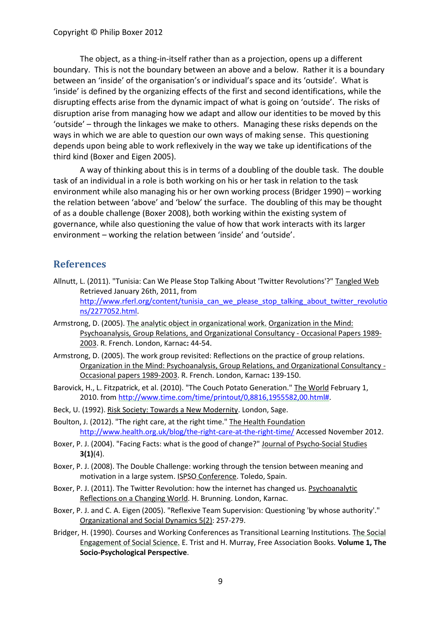The object, as a thing-in-itself rather than as a projection, opens up a different boundary. This is not the boundary between an above and a below. Rather it is a boundary between an 'inside' of the organisation's or individual's space and its 'outside'. What is 'inside' is defined by the organizing effects of the first and second identifications, while the disrupting effects arise from the dynamic impact of what is going on 'outside'. The risks of disruption arise from managing how we adapt and allow our identities to be moved by this 'outside' – through the linkages we make to others. Managing these risks depends on the ways in which we are able to question our own ways of making sense. This questioning depends upon being able to work reflexively in the way we take up identifications of the third kind [\(Boxer and Eigen 2005\)](#page-8-8).

A way of thinking about this is in terms of a doubling of the double task. The double task of an individual in a role is both working on his or her task in relation to the task environment while also managing his or her own working process [\(Bridger 1990\)](#page-8-9) – working the relation between 'above' and 'below' the surface. The doubling of this may be thought of as a double challenge [\(Boxer](#page-8-10) 2008), both working within the existing system of governance, while also questioning the value of how that work interacts with its larger environment – working the relation between 'inside' and 'outside'.

#### **References**

- <span id="page-8-0"></span>Allnutt, L. (2011). "Tunisia: Can We Please Stop Talking About 'Twitter Revolutions'?" Tangled Web Retrieved January 26th, 2011, from [http://www.rferl.org/content/tunisia\\_can\\_we\\_please\\_stop\\_talking\\_about\\_twitter\\_revolutio](http://www.rferl.org/content/tunisia_can_we_please_stop_talking_about_twitter_revolutions/2277052.html) [ns/2277052.html.](http://www.rferl.org/content/tunisia_can_we_please_stop_talking_about_twitter_revolutions/2277052.html)
- <span id="page-8-4"></span>Armstrong, D. (2005). The analytic object in organizational work. Organization in the Mind: Psychoanalysis, Group Relations, and Organizational Consultancy - Occasional Papers 1989- 2003. R. French. London, Karnac**:** 44-54.
- <span id="page-8-3"></span>Armstrong, D. (2005). The work group revisited: Reflections on the practice of group relations. Organization in the Mind: Psychoanalysis, Group Relations, and Organizational Consultancy - Occasional papers 1989-2003. R. French. London, Karnac**:** 139-150.
- <span id="page-8-1"></span>Barovick, H., L. Fitzpatrick, et al. (2010). "The Couch Potato Generation." The World February 1, 2010. from [http://www.time.com/time/printout/0,8816,1955582,00.html#.](http://www.time.com/time/printout/0,8816,1955582,00.html)
- <span id="page-8-7"></span>Beck, U. (1992). Risk Society: Towards a New Modernity. London, Sage.
- <span id="page-8-2"></span>Boulton, J. (2012). "The right care, at the right time." The Health Foundation <http://www.health.org.uk/blog/the-right-care-at-the-right-time/> Accessed November 2012.
- <span id="page-8-5"></span>Boxer, P. J. (2004). "Facing Facts: what is the good of change?" Journal of Psycho-Social Studies **3(1)**(4).
- <span id="page-8-10"></span>Boxer, P. J. (2008). The Double Challenge: working through the tension between meaning and motivation in a large system. ISPSO Conference. Toledo, Spain.
- <span id="page-8-6"></span>Boxer, P. J. (2011). The Twitter Revolution: how the internet has changed us. Psychoanalytic Reflections on a Changing World. H. Brunning. London, Karnac.
- <span id="page-8-8"></span>Boxer, P. J. and C. A. Eigen (2005). "Reflexive Team Supervision: Questioning 'by whose authority'." Organizational and Social Dynamics 5(2): 257-279.
- <span id="page-8-9"></span>Bridger, H. (1990). Courses and Working Conferences as Transitional Learning Institutions. The Social Engagement of Social Science. E. Trist and H. Murray, Free Association Books. **Volume 1, The Socio-Psychological Perspective**.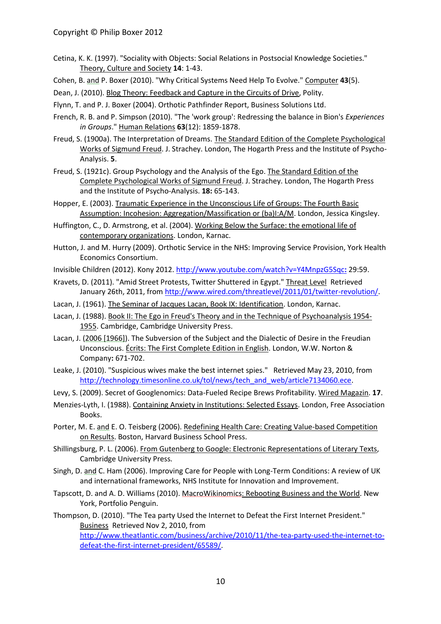- <span id="page-9-16"></span>Cetina, K. K. (1997). "Sociality with Objects: Social Relations in Postsocial Knowledge Societies." Theory, Culture and Society **14**: 1-43.
- <span id="page-9-8"></span>Cohen, B. and P. Boxer (2010). "Why Critical Systems Need Help To Evolve." Computer **43**(5).
- <span id="page-9-17"></span>Dean, J. (2010). Blog Theory: Feedback and Capture in the Circuits of Drive, Polity.
- <span id="page-9-7"></span>Flynn, T. and P. J. Boxer (2004). Orthotic Pathfinder Report, Business Solutions Ltd.
- <span id="page-9-18"></span>French, R. B. and P. Simpson (2010). "The 'work group': Redressing the balance in Bion's *Experiences in Groups*." Human Relations **63**(12): 1859-1878.
- <span id="page-9-13"></span>Freud, S. (1900a). The Interpretation of Dreams. The Standard Edition of the Complete Psychological Works of Sigmund Freud. J. Strachey. London, The Hogarth Press and the Institute of Psycho-Analysis. **5**.
- <span id="page-9-12"></span>Freud, S. (1921c). Group Psychology and the Analysis of the Ego. The Standard Edition of the Complete Psychological Works of Sigmund Freud. J. Strachey. London, The Hogarth Press and the Institute of Psycho-Analysis. **18:** 65-143.
- <span id="page-9-20"></span>Hopper, E. (2003). Traumatic Experience in the Unconscious Life of Groups: The Fourth Basic Assumption: Incohesion: Aggregation/Massification or (ba)I:A/M. London, Jessica Kingsley.
- <span id="page-9-22"></span>Huffington, C., D. Armstrong, et al. (2004). Working Below the Surface: the emotional life of contemporary organizations. London, Karnac.
- <span id="page-9-10"></span>Hutton, J. and M. Hurry (2009). Orthotic Service in the NHS: Improving Service Provision, York Health Economics Consortium.
- <span id="page-9-9"></span>Invisible Children (2012). Kony 2012[. http://www.youtube.com/watch?v=Y4MnpzG5Sqc](http://www.youtube.com/watch?v=Y4MnpzG5Sqc:)**:** 29:59.
- <span id="page-9-0"></span>Kravets, D. (2011). "Amid Street Protests, Twitter Shuttered in Egypt." Threat Level Retrieved January 26th, 2011, fro[m http://www.wired.com/threatlevel/2011/01/twitter-revolution/.](http://www.wired.com/threatlevel/2011/01/twitter-revolution/)
- <span id="page-9-15"></span>Lacan, J. (1961). The Seminar of Jacques Lacan, Book IX: Identification. London, Karnac.
- <span id="page-9-14"></span>Lacan, J. (1988). Book II: The Ego in Freud's Theory and in the Technique of Psychoanalysis 1954- 1955. Cambridge, Cambridge University Press.
- <span id="page-9-5"></span>Lacan, J. (2006 [1966]). The Subversion of the Subject and the Dialectic of Desire in the Freudian Unconscious. Écrits: The First Complete Edition in English. London, W.W. Norton & Company**:** 671-702.
- <span id="page-9-1"></span>Leake, J. (2010). "Suspicious wives make the best internet spies." Retrieved May 23, 2010, from [http://technology.timesonline.co.uk/tol/news/tech\\_and\\_web/article7134060.ece.](http://technology.timesonline.co.uk/tol/news/tech_and_web/article7134060.ece)
- <span id="page-9-2"></span>Levy, S. (2009). Secret of Googlenomics: Data-Fueled Recipe Brews Profitability. Wired Magazin. **17**.
- <span id="page-9-19"></span>Menzies-Lyth, I. (1988). Containing Anxiety in Institutions: Selected Essays. London, Free Association Books.
- <span id="page-9-6"></span>Porter, M. E. and E. O. Teisberg (2006). Redefining Health Care: Creating Value-based Competition on Results. Boston, Harvard Business School Press.
- <span id="page-9-21"></span>Shillingsburg, P. L. (2006). From Gutenberg to Google: Electronic Representations of Literary Texts, Cambridge University Press.
- <span id="page-9-11"></span>Singh, D. and C. Ham (2006). Improving Care for People with Long-Term Conditions: A review of UK and international frameworks, NHS Institute for Innovation and Improvement.
- <span id="page-9-3"></span>Tapscott, D. and A. D. Williams (2010). MacroWikinomics: Rebooting Business and the World. New York, Portfolio Penguin.
- <span id="page-9-4"></span>Thompson, D. (2010). "The Tea party Used the Internet to Defeat the First Internet President." Business Retrieved Nov 2, 2010, from [http://www.theatlantic.com/business/archive/2010/11/the-tea-party-used-the-internet-to](http://www.theatlantic.com/business/archive/2010/11/the-tea-party-used-the-internet-to-defeat-the-first-internet-president/65589/)[defeat-the-first-internet-president/65589/.](http://www.theatlantic.com/business/archive/2010/11/the-tea-party-used-the-internet-to-defeat-the-first-internet-president/65589/)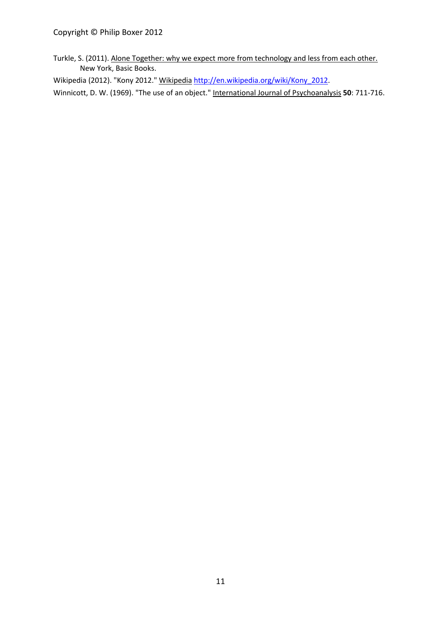<span id="page-10-1"></span>Turkle, S. (2011). Alone Together: why we expect more from technology and less from each other. New York, Basic Books.

<span id="page-10-0"></span>Wikipedia (2012). "Kony 2012." Wikipedia [http://en.wikipedia.org/wiki/Kony\\_2012.](http://en.wikipedia.org/wiki/Kony_2012)

<span id="page-10-2"></span>Winnicott, D. W. (1969). "The use of an object." International Journal of Psychoanalysis **50**: 711-716.